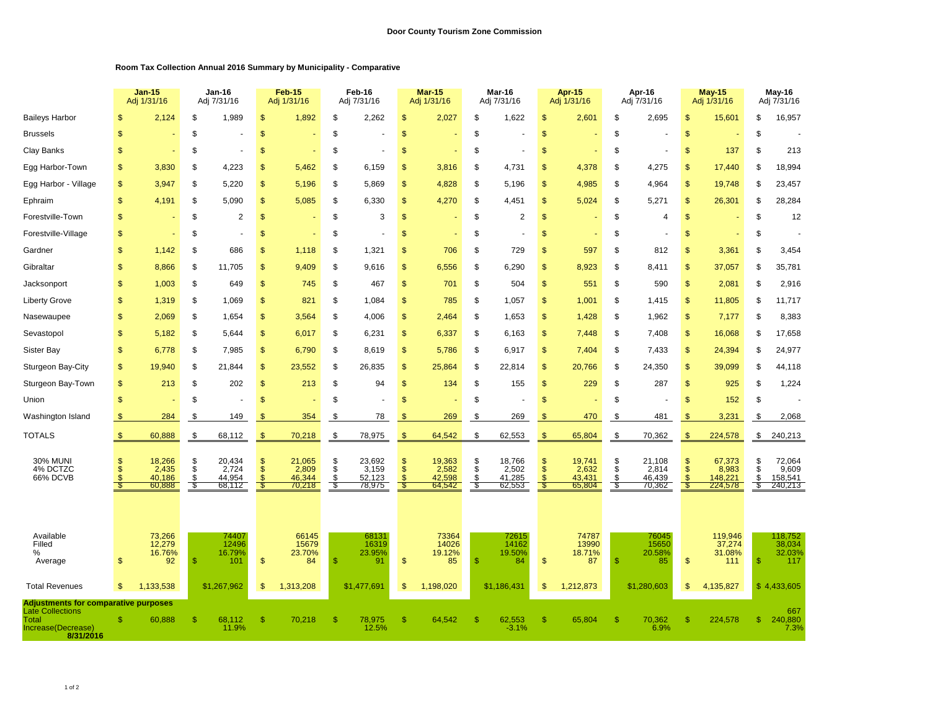## **Room Tax Collection Annual 2016 Summary by Municipality - Comparative**

|                                                                                                                    |               | <b>Jan-15</b><br>Adj 1/31/16        |                      | Jan-16<br>Adj 7/31/16               |                                 | <b>Feb-15</b><br>Adj 1/31/16        |              | Feb-16<br>Adj 7/31/16               |                                       | Mar-15<br>Adj 1/31/16               |                       | Mar-16<br>Adj 7/31/16               |                      | <b>Apr-15</b><br>Adj 1/31/16        |               | Apr-16<br>Adj 7/31/16               |                     | $May-15$<br>Adj 1/31/16               |                     | May-16<br>Adj 7/31/16                 |
|--------------------------------------------------------------------------------------------------------------------|---------------|-------------------------------------|----------------------|-------------------------------------|---------------------------------|-------------------------------------|--------------|-------------------------------------|---------------------------------------|-------------------------------------|-----------------------|-------------------------------------|----------------------|-------------------------------------|---------------|-------------------------------------|---------------------|---------------------------------------|---------------------|---------------------------------------|
| <b>Baileys Harbor</b>                                                                                              | \$            | 2.124                               | \$                   | 1,989                               | \$                              | 1,892                               | \$           | 2,262                               | $\mathsf{\$}$                         | 2,027                               | \$                    | 1,622                               | \$                   | 2,601                               | \$            | 2,695                               | \$                  | 15,601                                | \$                  | 16,957                                |
| <b>Brussels</b>                                                                                                    | \$            |                                     | \$                   |                                     | \$                              |                                     | \$           |                                     | $\mathfrak{s}$                        |                                     | \$                    |                                     | \$                   |                                     | \$            |                                     | $\mathsf{\$}$       |                                       | \$                  |                                       |
| Clay Banks                                                                                                         | \$            |                                     | \$                   |                                     | \$                              |                                     | \$           |                                     | \$                                    |                                     | \$                    |                                     | \$                   |                                     | \$            |                                     | \$                  | 137                                   | \$                  | 213                                   |
| Egg Harbor-Town                                                                                                    | \$            | 3,830                               | S                    | 4,223                               | <sub>\$</sub>                   | 5,462                               | \$           | 6,159                               | \$                                    | 3,816                               | S                     | 4,731                               | \$                   | 4,378                               | S             | 4,275                               | $\mathbb{S}$        | 17,440                                | \$                  | 18,994                                |
| Egg Harbor - Village                                                                                               | \$            | 3,947                               | \$                   | 5,220                               | \$                              | 5,196                               | \$           | 5,869                               | $\mathfrak{s}$                        | 4,828                               | \$                    | 5,196                               | \$                   | 4,985                               | \$            | 4,964                               | \$                  | 19,748                                | \$                  | 23,457                                |
| Ephraim                                                                                                            | \$            | 4,191                               | \$                   | 5,090                               | \$                              | 5,085                               | \$           | 6,330                               | $\mathfrak{s}$                        | 4,270                               | \$                    | 4,451                               | \$                   | 5,024                               | \$            | 5,271                               | \$                  | 26,301                                | \$                  | 28,284                                |
| Forestville-Town                                                                                                   | \$            |                                     | \$                   | $\overline{2}$                      | \$                              |                                     | \$           | 3                                   | $\mathsf{\$}$                         |                                     | \$                    | $\overline{2}$                      | \$                   |                                     | \$            | 4                                   | $\mathsf{\$}$       |                                       | \$                  | 12                                    |
| Forestville-Village                                                                                                | \$            |                                     | \$                   |                                     | \$                              |                                     | \$           |                                     | $\mathbb{S}$                          |                                     | \$                    |                                     | $\mathbb{S}$         |                                     | \$            |                                     | \$                  |                                       | \$                  |                                       |
| Gardner                                                                                                            | \$            | 1,142                               | S                    | 686                                 | S                               | 1,118                               | \$           | 1,321                               | \$                                    | 706                                 | \$                    | 729                                 | S                    | 597                                 | \$            | 812                                 | $\mathbf{s}$        | 3,361                                 | S                   | 3,454                                 |
| Gibraltar                                                                                                          | \$            | 8,866                               | \$                   | 11.705                              | \$                              | 9,409                               | \$           | 9.616                               | $\mathfrak{s}$                        | 6,556                               | \$                    | 6.290                               | \$                   | 8,923                               | \$            | 8.411                               | $\mathsf{\$}$       | 37,057                                | \$                  | 35,781                                |
| Jacksonport                                                                                                        | \$            | 1,003                               | \$                   | 649                                 | \$                              | 745                                 | \$           | 467                                 | $\mathsf{\$}$                         | 701                                 | \$                    | 504                                 | \$                   | 551                                 | \$            | 590                                 | \$                  | 2,081                                 | \$                  | 2,916                                 |
| <b>Liberty Grove</b>                                                                                               | \$            | 1,319                               | \$                   | 1.069                               | $\mathfrak{s}$                  | 821                                 | \$           | 1,084                               | $\mathfrak{s}$                        | 785                                 | \$                    | 1,057                               | \$                   | 1,001                               | \$            | 1,415                               | \$                  | 11,805                                | \$                  | 11,717                                |
| Nasewaupee                                                                                                         | \$            | 2.069                               | \$                   | 1,654                               | \$                              | 3,564                               | \$           | 4.006                               | $\mathfrak{s}$                        | 2.464                               | \$                    | 1,653                               | \$                   | 1,428                               | \$            | 1,962                               | \$                  | 7,177                                 | \$                  | 8,383                                 |
| Sevastopol                                                                                                         | \$            | 5.182                               | \$                   | 5.644                               | \$                              | 6,017                               | \$           | 6.231                               | $\mathfrak{s}$                        | 6,337                               | \$                    | 6.163                               | \$                   | 7,448                               | \$            | 7,408                               | \$                  | 16,068                                | \$                  | 17,658                                |
| <b>Sister Bay</b>                                                                                                  | \$            | 6.778                               | \$                   | 7.985                               | \$                              | 6.790                               | \$           | 8,619                               | $\sqrt[6]{3}$                         | 5,786                               | \$                    | 6,917                               | \$                   | 7.404                               | \$            | 7.433                               | \$                  | 24,394                                | \$                  | 24,977                                |
| Sturgeon Bay-City                                                                                                  | $\mathsf{\$}$ | 19,940                              | \$                   | 21,844                              | \$                              | 23,552                              | \$           | 26,835                              | $\frac{1}{2}$                         | 25,864                              | \$                    | 22,814                              | \$                   | 20,766                              | \$            | 24,350                              | \$                  | 39,099                                | \$                  | 44,118                                |
| Sturgeon Bay-Town                                                                                                  | \$            | 213                                 | \$                   | 202                                 | \$                              | 213                                 | \$           | 94                                  | $\frac{1}{2}$                         | 134                                 | \$                    | 155                                 | \$                   | 229                                 | \$            | 287                                 | \$                  | 925                                   | \$                  | 1,224                                 |
| Union                                                                                                              | \$            |                                     | \$                   |                                     | \$                              |                                     | \$           |                                     | \$                                    |                                     | \$                    |                                     | \$                   |                                     | \$            |                                     | \$                  | 152                                   | \$                  |                                       |
| Washington Island                                                                                                  | \$            | 284                                 | \$                   | 149                                 |                                 | 354                                 | \$           | 78                                  | S                                     | 269                                 | \$                    | 269                                 | \$                   | 470                                 | \$            | 481                                 | \$                  | 3,231                                 | \$                  | 2,068                                 |
| <b>TOTALS</b>                                                                                                      | $\sqrt[6]{3}$ | 60,888                              | \$                   | 68,112                              | $\mathfrak{s}$                  | 70,218                              | \$           | 78,975                              | $\sqrt[6]{3}$                         | 64,542                              | \$                    | 62,553                              | \$                   | 65,804                              | \$            | 70,362                              | \$                  | 224,578                               | \$                  | 240,213                               |
| <b>30% MUNI</b><br>4% DCTZC<br>66% DCVB                                                                            | S<br>\$       | 18,266<br>2,435<br>40,186<br>60,888 | \$<br>\$<br>\$<br>\$ | 20,434<br>2,724<br>44,954<br>68,112 | $\mathfrak{s}$<br>$\mathsf{\$}$ | 21,065<br>2,809<br>46,344<br>70,218 | \$<br>\$     | 23,692<br>3,159<br>52,123<br>78,975 | $\frac{1}{2}$<br>$\mathfrak{s}$<br>-S | 19,363<br>2,582<br>42,598<br>64,542 | \$<br>\$<br>\$<br>-\$ | 18,766<br>2,502<br>41,285<br>62,553 | \$<br>$\mathfrak{s}$ | 19,741<br>2,632<br>43,431<br>65,804 | \$<br>\$<br>۹ | 21,108<br>2,814<br>46,439<br>70,362 | \$<br>$\mathsf{\$}$ | 67,373<br>8,983<br>148,221<br>224,578 | S<br>\$<br>\$<br>\$ | 72,064<br>9,609<br>158,541<br>240,213 |
| Available<br>Filled<br>$\%$<br>Average                                                                             | S             | 73,266<br>12,279<br>16.76%<br>92    | -S                   | 74407<br>12496<br>16.79%<br>101     | \$                              | 66145<br>15679<br>23.70%<br>84      | $\mathbb{S}$ | 68131<br>16319<br>23.95%<br>91      | $\frac{1}{2}$                         | 73364<br>14026<br>19.12%<br>85      | <b>S</b>              | 72615<br>14162<br>19.50%<br>84      | \$                   | 74787<br>13990<br>18.71%<br>87      | \$            | 76045<br>15650<br>20.58%<br>85      | \$                  | 119,946<br>37,274<br>31.08%<br>111    | <b>S</b>            | 118,752<br>38,034<br>32.03%<br>117    |
| <b>Total Revenues</b>                                                                                              | $\mathbf{s}$  | 1.133.538                           |                      | \$1,267,962                         | \$                              | 1,313,208                           |              | \$1,477,691                         | $\mathfrak{s}$                        | 1,198,020                           |                       | \$1,186,431                         | \$                   | 1,212,873                           |               | \$1,280,603                         | \$                  | 4,135,827                             |                     | \$4.433.605                           |
| <b>Adjustments for comparative purposes</b><br><b>Late Collections</b><br>Total<br>Increase(Decrease)<br>8/31/2016 | <b>S</b>      | 60,888                              | -S                   | 68,112<br>11.9%                     | \$                              | 70,218                              | S.           | 78,975<br>12.5%                     | \$                                    | 64,542                              |                       | 62,553<br>$-3.1%$                   | \$.                  | 65,804                              | $\mathbf{s}$  | 70,362<br>6.9%                      | \$                  | 224,578                               | \$                  | 667<br>240,880<br>7.3%                |